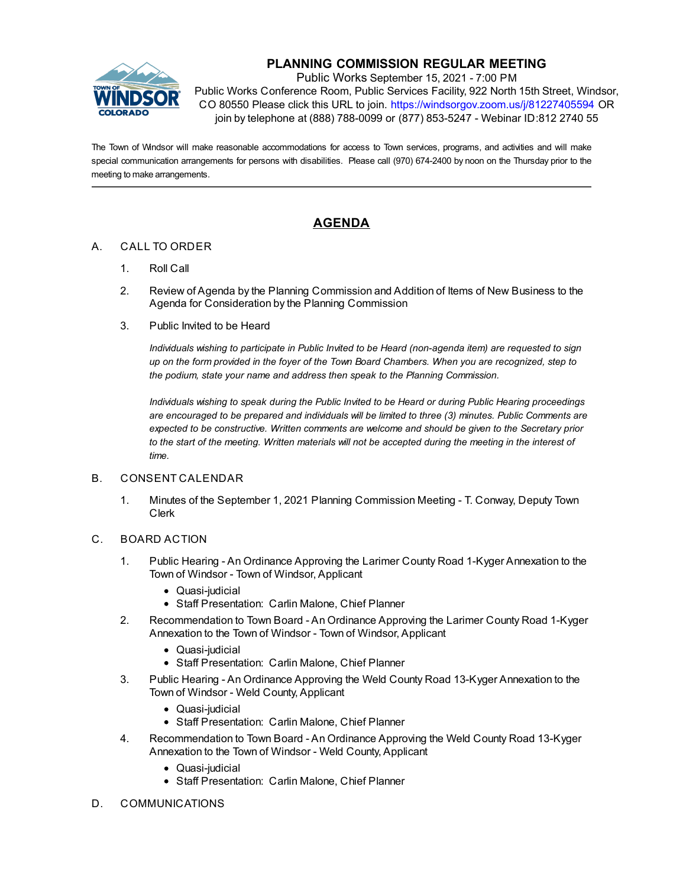

## **PLANNING COMMISSION REGULAR MEETING**

Public Works September 15, 2021 - 7:00 PM Public Works Conference Room, Public Services Facility, 922 North 15th Street, Windsor, CO 80550 Please click this URL to join. https://windsorgov.zoom.us/j/81227405594 OR join by telephone at (888) 788-0099 or (877) 853-5247 - Webinar ID:812 2740 55

The Town of Windsor will make reasonable accommodations for access to Town services, programs, and activities and will make special communication arrangements for persons with disabilities. Please call (970) 674-2400 by noon on the Thursday prior to the meeting to make arrangements.

# **AGENDA**

### A. CALL TO ORDER

- 1. Roll Call
- 2. Review of Agenda by the Planning Commission and Addition of Items of New Business to the Agenda for Consideration by the Planning Commission
- 3. Public Invited to be Heard

*Individuals wishing to participate in Public Invited to be Heard (non-agenda item) are requested to sign up on the form provided in the foyer of the Town Board Chambers. When you are recognized, step to the podium, state your name and address then speak to the Planning Commission.*

*Individuals wishing to speak during the Public Invited to be Heard or during Public Hearing proceedings are encouraged to be prepared and individuals will be limited to three (3) minutes. Public Comments are expected to be constructive. Written comments are welcome and should be given to the Secretary prior to the start of the meeting. Written materials will not be accepted during the meeting in the interest of time.*

#### B. CONSENT CALENDAR

1. [Minutes of the September 1, 2021 Planning Commission Meeting - T. Conway, Deputy Town](file:///C:/Windows/TEMP/CoverSheet.aspx?ItemID=1645&MeetingID=245) Clerk

#### C. BOARD ACTION

- 1. [Public Hearing An Ordinance Approving the Larimer County Road 1-Kyger Annexation to the](file:///C:/Windows/TEMP/CoverSheet.aspx?ItemID=1625&MeetingID=245) Town of Windsor - Town of Windsor, Applicant
	- Quasi-judicial
	- Staff Presentation: Carlin Malone, Chief Planner
- 2. [Recommendation to Town Board An Ordinance Approving the Larimer County Road 1-Kyger](file:///C:/Windows/TEMP/CoverSheet.aspx?ItemID=1626&MeetingID=245) Annexation to the Town of Windsor - Town of Windsor, Applicant
	- Quasi-judicial
	- Staff Presentation: Carlin Malone, Chief Planner
- 3. [Public Hearing An Ordinance Approving the Weld County Road 13-Kyger Annexation to the](file:///C:/Windows/TEMP/CoverSheet.aspx?ItemID=1627&MeetingID=245) Town of Windsor - Weld County, Applicant
	- Quasi-judicial
	- Staff Presentation: Carlin Malone, Chief Planner
- 4. [Recommendation to Town Board An Ordinance Approving the Weld County Road 13-Kyger](file:///C:/Windows/TEMP/CoverSheet.aspx?ItemID=1628&MeetingID=245) Annexation to the Town of Windsor - Weld County, Applicant
	- Quasi-judicial
	- Staff Presentation: Carlin Malone, Chief Planner
- D. COMMUNICATIONS